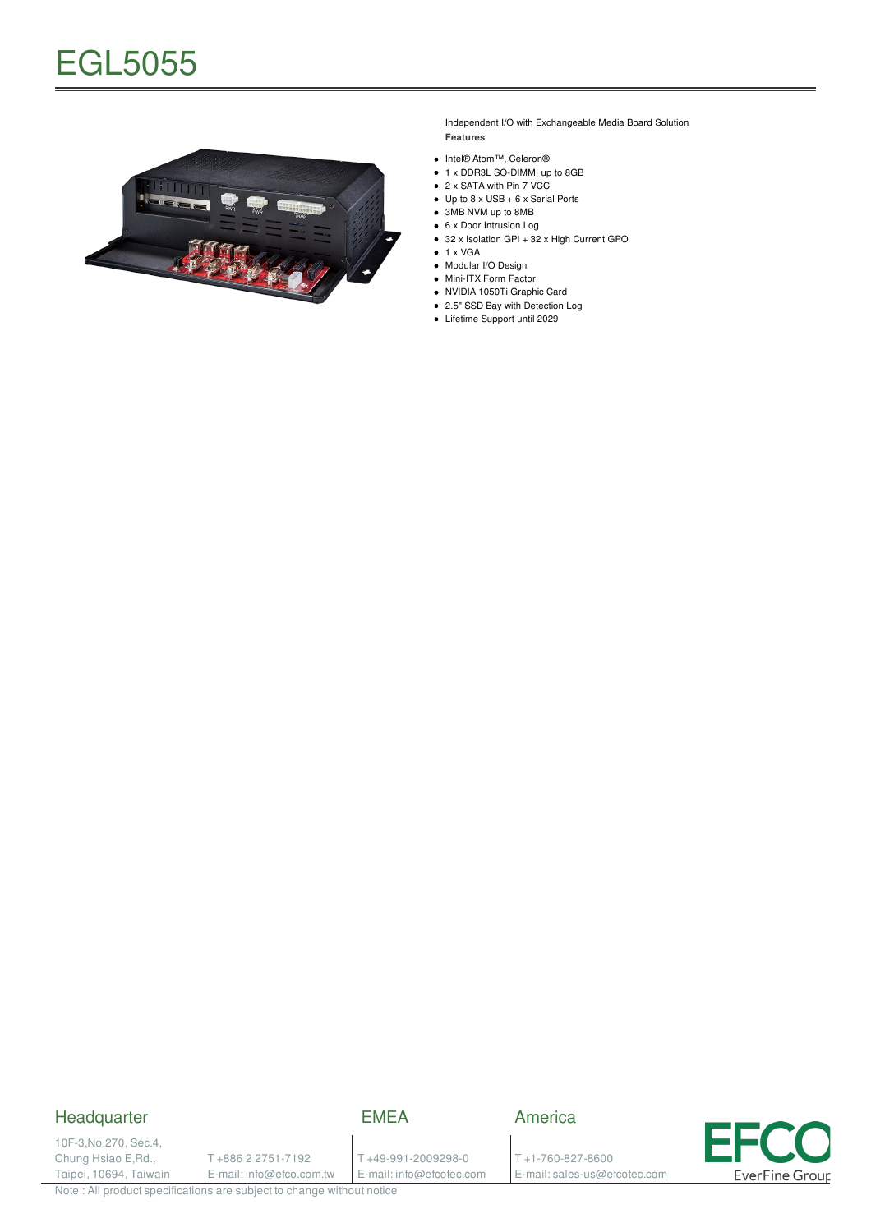

Independent I/O with Exchangeable Media Board Solution **Features**

- Intel® Atom™, Celeron®
- 1 x DDR3L SO-DIMM, up to 8GB
- 2 x SATA with Pin 7 VCC
- Up to 8 x USB + 6 x Serial Ports
- 3MB NVM up to 8MB
- 6 x Door Intrusion Log
- 32 x Isolation GPI + 32 x High Current GPO  $\bullet$  1 x VGA
- Modular I/O Design
- Mini-ITX Form Factor
- NVIDIA 1050Ti Graphic Card
- 2.5" SSD Bay with Detection Log
- Lifetime Support until 2029

### Headquarter

EMEA

America

10F-3,No.270, Sec.4, Chung Hsiao E,Rd., Taipei, 10694, Taiwain

T +886 2 2751-7192 E-mail: info@efco.com.tw T +49-991-2009298-0 E-mail: info@efcotec.com

T +1-760-827-8600 E-mail: sales-us@efcotec.com



Note : All product specifications are subject to change without notice